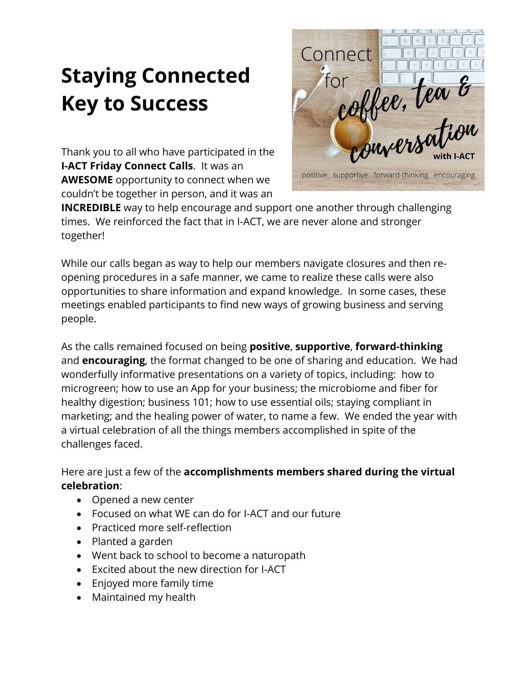## **Staying Connected Key to Success**

Thank you to all who have participated in the **I-ACT Friday Connect Calls**. It was an **AWESOME** opportunity to connect when we couldn't be together in person, and it was an



**INCREDIBLE** way to help encourage and support one another through challenging times. We reinforced the fact that in I-ACT, we are never alone and stronger together!

While our calls began as way to help our members navigate closures and then reopening procedures in a safe manner, we came to realize these calls were also opportunities to share information and expand knowledge. In some cases, these meetings enabled participants to find new ways of growing business and serving people.

As the calls remained focused on being **positive**, **supportive**, **forward-thinking** and **encouraging**, the format changed to be one of sharing and education. We had wonderfully informative presentations on a variety of topics, including: how to microgreen; how to use an App for your business; the microbiome and fiber for healthy digestion; business 101; how to use essential oils; staying compliant in marketing; and the healing power of water, to name a few. We ended the year with a virtual celebration of all the things members accomplished in spite of the challenges faced.

## Here are just a few of the **accomplishments members shared during the virtual celebration**:

- Opened a new center
- Focused on what WE can do for I-ACT and our future
- Practiced more self-reflection
- Planted a garden
- Went back to school to become a naturopath
- Excited about the new direction for I-ACT
- Enjoyed more family time
- Maintained my health